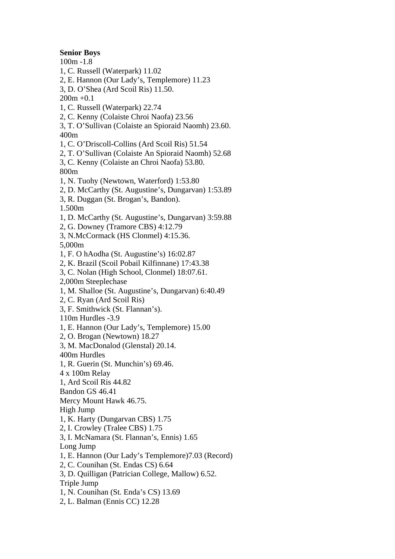### **Senior Boys**

100m -1.8

- 1, C. Russell (Waterpark) 11.02
- 2, E. Hannon (Our Lady's, Templemore) 11.23
- 3, D. O'Shea (Ard Scoil Ris) 11.50.
- $200m +0.1$
- 1, C. Russell (Waterpark) 22.74
- 2, C. Kenny (Colaiste Chroi Naofa) 23.56
- 3, T. O'Sullivan (Colaiste an Spioraid Naomh) 23.60. 400m
- 1, C. O'Driscoll-Collins (Ard Scoil Ris) 51.54
- 2, T. O'Sullivan (Colaiste An Spioraid Naomh) 52.68
- 3, C. Kenny (Colaiste an Chroi Naofa) 53.80.
- 800m
- 1, N. Tuohy (Newtown, Waterford) 1:53.80
- 2, D. McCarthy (St. Augustine's, Dungarvan) 1:53.89
- 3, R. Duggan (St. Brogan's, Bandon).
- 1.500m
- 1, D. McCarthy (St. Augustine's, Dungarvan) 3:59.88
- 2, G. Downey (Tramore CBS) 4:12.79
- 3, N.McCormack (HS Clonmel) 4:15.36.

5,000m

- 1, F. O hAodha (St. Augustine's) 16:02.87
- 2, K. Brazil (Scoil Pobail Kilfinnane) 17:43.38
- 3, C. Nolan (High School, Clonmel) 18:07.61.
- 2,000m Steeplechase
- 1, M. Shalloe (St. Augustine's, Dungarvan) 6:40.49
- 2, C. Ryan (Ard Scoil Ris)
- 3, F. Smithwick (St. Flannan's).
- 110m Hurdles -3.9
- 1, E. Hannon (Our Lady's, Templemore) 15.00
- 2, O. Brogan (Newtown) 18.27
- 3, M. MacDonalod (Glenstal) 20.14.
- 400m Hurdles
- 1, R. Guerin (St. Munchin's) 69.46.
- 4 x 100m Relay
- 1, Ard Scoil Ris 44.82
- Bandon GS 46.41
- Mercy Mount Hawk 46.75.
- High Jump
- 1, K. Harty (Dungarvan CBS) 1.75
- 2, I. Crowley (Tralee CBS) 1.75
- 3, I. McNamara (St. Flannan's, Ennis) 1.65
- Long Jump
- 1, E. Hannon (Our Lady's Templemore)7.03 (Record)
- 2, C. Counihan (St. Endas CS) 6.64
- 3, D. Quilligan (Patrician College, Mallow) 6.52.
- Triple Jump
- 1, N. Counihan (St. Enda's CS) 13.69
- 2, L. Balman (Ennis CC) 12.28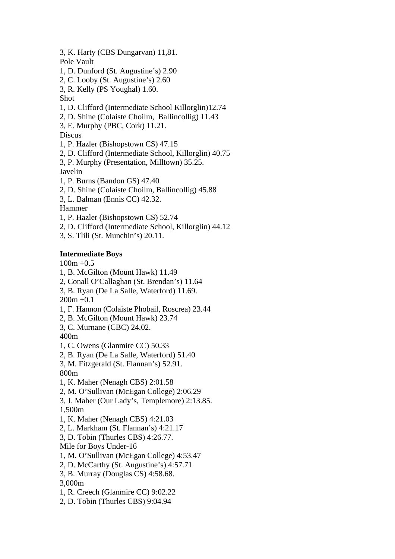3, K. Harty (CBS Dungarvan) 11,81. Pole Vault 1, D. Dunford (St. Augustine's) 2.90 2, C. Looby (St. Augustine's) 2.60 3, R. Kelly (PS Youghal) 1.60. Shot 1, D. Clifford (Intermediate School Killorglin)12.74 2, D. Shine (Colaiste Choilm, Ballincollig) 11.43 3, E. Murphy (PBC, Cork) 11.21. **Discus** 1, P. Hazler (Bishopstown CS) 47.15 2, D. Clifford (Intermediate School, Killorglin) 40.75 3, P. Murphy (Presentation, Milltown) 35.25. Javelin 1, P. Burns (Bandon GS) 47.40 2, D. Shine (Colaiste Choilm, Ballincollig) 45.88 3, L. Balman (Ennis CC) 42.32. Hammer 1, P. Hazler (Bishopstown CS) 52.74 2, D. Clifford (Intermediate School, Killorglin) 44.12 3, S. Tlili (St. Munchin's) 20.11.

### **Intermediate Boys**

 $100m + 0.5$ 1, B. McGilton (Mount Hawk) 11.49 2, Conall O'Callaghan (St. Brendan's) 11.64 3, B. Ryan (De La Salle, Waterford) 11.69.  $200m +0.1$ 1, F. Hannon (Colaiste Phobail, Roscrea) 23.44 2, B. McGilton (Mount Hawk) 23.74 3, C. Murnane (CBC) 24.02. 400m 1, C. Owens (Glanmire CC) 50.33 2, B. Ryan (De La Salle, Waterford) 51.40 3, M. Fitzgerald (St. Flannan's) 52.91. 800m 1, K. Maher (Nenagh CBS) 2:01.58 2, M. O'Sullivan (McEgan College) 2:06.29 3, J. Maher (Our Lady's, Templemore) 2:13.85. 1,500m 1, K. Maher (Nenagh CBS) 4:21.03 2, L. Markham (St. Flannan's) 4:21.17 3, D. Tobin (Thurles CBS) 4:26.77. Mile for Boys Under-16 1, M. O'Sullivan (McEgan College) 4:53.47 2, D. McCarthy (St. Augustine's) 4:57.71 3, B. Murray (Douglas CS) 4:58.68. 3,000m 1, R. Creech (Glanmire CC) 9:02.22 2, D. Tobin (Thurles CBS) 9:04.94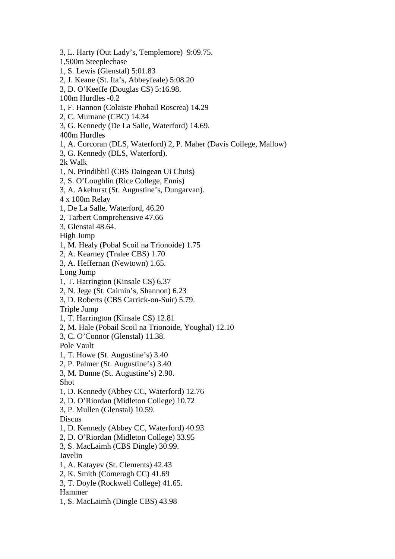3, L. Harty (Out Lady's, Templemore) 9:09.75. 1,500m Steeplechase 1, S. Lewis (Glenstal) 5:01.83 2, J. Keane (St. Ita's, Abbeyfeale) 5:08.20 3, D. O'Keeffe (Douglas CS) 5:16.98. 100m Hurdles -0.2 1, F. Hannon (Colaiste Phobail Roscrea) 14.29 2, C. Murnane (CBC) 14.34 3, G. Kennedy (De La Salle, Waterford) 14.69. 400m Hurdles 1, A. Corcoran (DLS, Waterford) 2, P. Maher (Davis College, Mallow) 3, G. Kennedy (DLS, Waterford). 2k Walk 1, N. Prindibhil (CBS Daingean Ui Chuis) 2, S. O'Loughlin (Rice College, Ennis) 3, A. Akehurst (St. Augustine's, Dungarvan). 4 x 100m Relay 1, De La Salle, Waterford, 46.20 2, Tarbert Comprehensive 47.66 3, Glenstal 48.64. High Jump 1, M. Healy (Pobal Scoil na Trionoide) 1.75 2, A. Kearney (Tralee CBS) 1.70 3, A. Heffernan (Newtown) 1.65. Long Jump 1, T. Harrington (Kinsale CS) 6.37 2, N. Jege (St. Caimin's, Shannon) 6.23 3, D. Roberts (CBS Carrick-on-Suir) 5.79. Triple Jump 1, T. Harrington (Kinsale CS) 12.81 2, M. Hale (Pobail Scoil na Trionoide, Youghal) 12.10 3, C. O'Connor (Glenstal) 11.38. Pole Vault 1, T. Howe (St. Augustine's) 3.40 2, P. Palmer (St. Augustine's) 3.40 3, M. Dunne (St. Augustine's) 2.90. Shot 1, D. Kennedy (Abbey CC, Waterford) 12.76 2, D. O'Riordan (Midleton College) 10.72 3, P. Mullen (Glenstal) 10.59. **Discus** 1, D. Kennedy (Abbey CC, Waterford) 40.93 2, D. O'Riordan (Midleton College) 33.95 3, S. MacLaimh (CBS Dingle) 30.99. Javelin 1, A. Katayev (St. Clements) 42.43 2, K. Smith (Comeragh CC) 41.69 3, T. Doyle (Rockwell College) 41.65. Hammer 1, S. MacLaimh (Dingle CBS) 43.98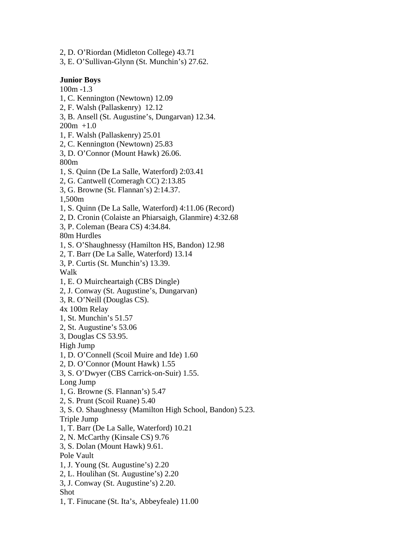2, D. O'Riordan (Midleton College) 43.71

3, E. O'Sullivan-Glynn (St. Munchin's) 27.62.

### **Junior Boys**

100m -1.3 1, C. Kennington (Newtown) 12.09 2, F. Walsh (Pallaskenry) 12.12 3, B. Ansell (St. Augustine's, Dungarvan) 12.34. 200m +1.0 1, F. Walsh (Pallaskenry) 25.01 2, C. Kennington (Newtown) 25.83 3, D. O'Connor (Mount Hawk) 26.06. 800m 1, S. Quinn (De La Salle, Waterford) 2:03.41 2, G. Cantwell (Comeragh CC) 2:13.85 3, G. Browne (St. Flannan's) 2:14.37. 1,500m 1, S. Quinn (De La Salle, Waterford) 4:11.06 (Record) 2, D. Cronin (Colaiste an Phiarsaigh, Glanmire) 4:32.68 3, P. Coleman (Beara CS) 4:34.84. 80m Hurdles 1, S. O'Shaughnessy (Hamilton HS, Bandon) 12.98 2, T. Barr (De La Salle, Waterford) 13.14 3, P. Curtis (St. Munchin's) 13.39. Walk 1, E. O Muircheartaigh (CBS Dingle) 2, J. Conway (St. Augustine's, Dungarvan) 3, R. O'Neill (Douglas CS). 4x 100m Relay 1, St. Munchin's 51.57 2, St. Augustine's 53.06 3, Douglas CS 53.95. High Jump 1, D. O'Connell (Scoil Muire and Ide) 1.60 2, D. O'Connor (Mount Hawk) 1.55 3, S. O'Dwyer (CBS Carrick-on-Suir) 1.55. Long Jump 1, G. Browne (S. Flannan's) 5.47 2, S. Prunt (Scoil Ruane) 5.40 3, S. O. Shaughnessy (Mamilton High School, Bandon) 5.23. Triple Jump 1, T. Barr (De La Salle, Waterford) 10.21 2, N. McCarthy (Kinsale CS) 9.76 3, S. Dolan (Mount Hawk) 9.61. Pole Vault 1, J. Young (St. Augustine's) 2.20 2, L. Houlihan (St. Augustine's) 2.20 3, J. Conway (St. Augustine's) 2.20. Shot 1, T. Finucane (St. Ita's, Abbeyfeale) 11.00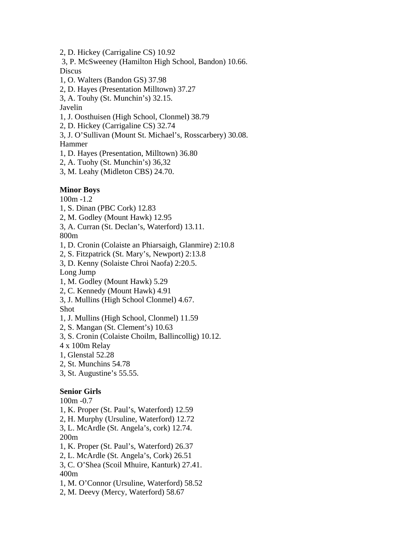2, D. Hickey (Carrigaline CS) 10.92

 3, P. McSweeney (Hamilton High School, Bandon) 10.66. **Discus** 

1, O. Walters (Bandon GS) 37.98

2, D. Hayes (Presentation Milltown) 37.27

3, A. Touhy (St. Munchin's) 32.15.

Javelin

1, J. Oosthuisen (High School, Clonmel) 38.79

2, D. Hickey (Carrigaline CS) 32.74

3, J. O'Sullivan (Mount St. Michael's, Rosscarbery) 30.08.

Hammer

1, D. Hayes (Presentation, Milltown) 36.80

2, A. Tuohy (St. Munchin's) 36,32

3, M. Leahy (Midleton CBS) 24.70.

# **Minor Boys**

100m -1.2

1, S. Dinan (PBC Cork) 12.83

2, M. Godley (Mount Hawk) 12.95

3, A. Curran (St. Declan's, Waterford) 13.11.

800m

1, D. Cronin (Colaiste an Phiarsaigh, Glanmire) 2:10.8

2, S. Fitzpatrick (St. Mary's, Newport) 2:13.8

3, D. Kenny (Solaiste Chroi Naofa) 2:20.5.

Long Jump

1, M. Godley (Mount Hawk) 5.29

2, C. Kennedy (Mount Hawk) 4.91

3, J. Mullins (High School Clonmel) 4.67.

Shot

1, J. Mullins (High School, Clonmel) 11.59

2, S. Mangan (St. Clement's) 10.63

3, S. Cronin (Colaiste Choilm, Ballincollig) 10.12.

4 x 100m Relay

1, Glenstal 52.28

2, St. Munchins 54.78

3, St. Augustine's 55.55.

## **Senior Girls**

100m -0.7

1, K. Proper (St. Paul's, Waterford) 12.59 2, H. Murphy (Ursuline, Waterford) 12.72

3, L. McArdle (St. Angela's, cork) 12.74.

200m

1, K. Proper (St. Paul's, Waterford) 26.37

2, L. McArdle (St. Angela's, Cork) 26.51

3, C. O'Shea (Scoil Mhuire, Kanturk) 27.41. 400m

1, M. O'Connor (Ursuline, Waterford) 58.52

2, M. Deevy (Mercy, Waterford) 58.67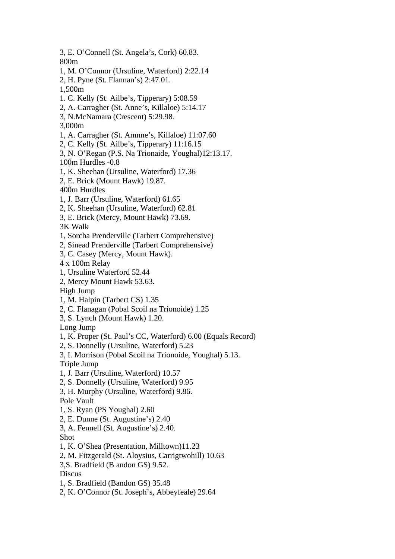3, E. O'Connell (St. Angela's, Cork) 60.83. 800m 1, M. O'Connor (Ursuline, Waterford) 2:22.14 2, H. Pyne (St. Flannan's) 2:47.01. 1,500m 1. C. Kelly (St. Ailbe's, Tipperary) 5:08.59 2, A. Carragher (St. Anne's, Killaloe) 5:14.17 3, N.McNamara (Crescent) 5:29.98. 3,000m 1, A. Carragher (St. Amnne's, Killaloe) 11:07.60 2, C. Kelly (St. Ailbe's, Tipperary) 11:16.15 3, N. O'Regan (P.S. Na Trionaide, Youghal)12:13.17. 100m Hurdles -0.8 1, K. Sheehan (Ursuline, Waterford) 17.36 2, E. Brick (Mount Hawk) 19.87. 400m Hurdles 1, J. Barr (Ursuline, Waterford) 61.65 2, K. Sheehan (Ursuline, Waterford) 62.81 3, E. Brick (Mercy, Mount Hawk) 73.69. 3K Walk 1, Sorcha Prenderville (Tarbert Comprehensive) 2, Sinead Prenderville (Tarbert Comprehensive) 3, C. Casey (Mercy, Mount Hawk). 4 x 100m Relay 1, Ursuline Waterford 52.44 2, Mercy Mount Hawk 53.63. High Jump 1, M. Halpin (Tarbert CS) 1.35 2, C. Flanagan (Pobal Scoil na Trionoide) 1.25 3, S. Lynch (Mount Hawk) 1.20. Long Jump 1, K. Proper (St. Paul's CC, Waterford) 6.00 (Equals Record) 2, S. Donnelly (Ursuline, Waterford) 5.23 3, I. Morrison (Pobal Scoil na Trionoide, Youghal) 5.13. Triple Jump 1, J. Barr (Ursuline, Waterford) 10.57 2, S. Donnelly (Ursuline, Waterford) 9.95 3, H. Murphy (Ursuline, Waterford) 9.86. Pole Vault 1, S. Ryan (PS Youghal) 2.60 2, E. Dunne (St. Augustine's) 2.40 3, A. Fennell (St. Augustine's) 2.40. Shot 1, K. O'Shea (Presentation, Milltown)11.23 2, M. Fitzgerald (St. Aloysius, Carrigtwohill) 10.63 3,S. Bradfield (B andon GS) 9.52. **Discus** 1, S. Bradfield (Bandon GS) 35.48 2, K. O'Connor (St. Joseph's, Abbeyfeale) 29.64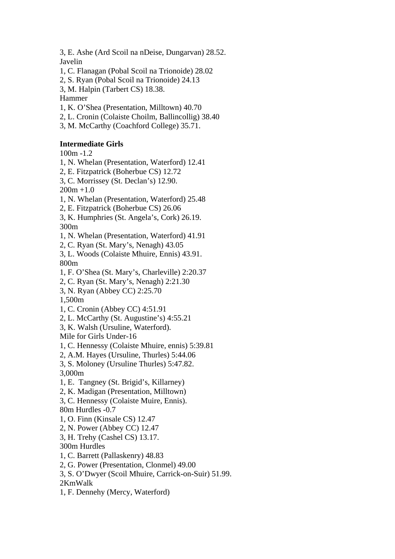3, E. Ashe (Ard Scoil na nDeise, Dungarvan) 28.52. Javelin

1, C. Flanagan (Pobal Scoil na Trionoide) 28.02

2, S. Ryan (Pobal Scoil na Trionoide) 24.13

3, M. Halpin (Tarbert CS) 18.38.

Hammer

1, K. O'Shea (Presentation, Milltown) 40.70

2, L. Cronin (Colaiste Choilm, Ballincollig) 38.40

3, M. McCarthy (Coachford College) 35.71.

## **Intermediate Girls**

100m -1.2

1, N. Whelan (Presentation, Waterford) 12.41

2, E. Fitzpatrick (Boherbue CS) 12.72

3, C. Morrissey (St. Declan's) 12.90.

 $200m + 1.0$ 

1, N. Whelan (Presentation, Waterford) 25.48

2, E. Fitzpatrick (Boherbue CS) 26.06

3, K. Humphries (St. Angela's, Cork) 26.19. 300m

1, N. Whelan (Presentation, Waterford) 41.91

2, C. Ryan (St. Mary's, Nenagh) 43.05

3, L. Woods (Colaiste Mhuire, Ennis) 43.91. 800m

1, F. O'Shea (St. Mary's, Charleville) 2:20.37

2, C. Ryan (St. Mary's, Nenagh) 2:21.30

3, N. Ryan (Abbey CC) 2:25.70

1,500m

1, C. Cronin (Abbey CC) 4:51.91

2, L. McCarthy (St. Augustine's) 4:55.21

3, K. Walsh (Ursuline, Waterford).

Mile for Girls Under-16

1, C. Hennessy (Colaiste Mhuire, ennis) 5:39.81

2, A.M. Hayes (Ursuline, Thurles) 5:44.06

3, S. Moloney (Ursuline Thurles) 5:47.82.

3,000m

1, E. Tangney (St. Brigid's, Killarney)

2, K. Madigan (Presentation, Milltown)

3, C. Hennessy (Colaiste Muire, Ennis).

80m Hurdles -0.7

1, O. Finn (Kinsale CS) 12.47

2, N. Power (Abbey CC) 12.47

3, H. Trehy (Cashel CS) 13.17.

300m Hurdles

1, C. Barrett (Pallaskenry) 48.83

2, G. Power (Presentation, Clonmel) 49.00

3, S. O'Dwyer (Scoil Mhuire, Carrick-on-Suir) 51.99.

2KmWalk

1, F. Dennehy (Mercy, Waterford)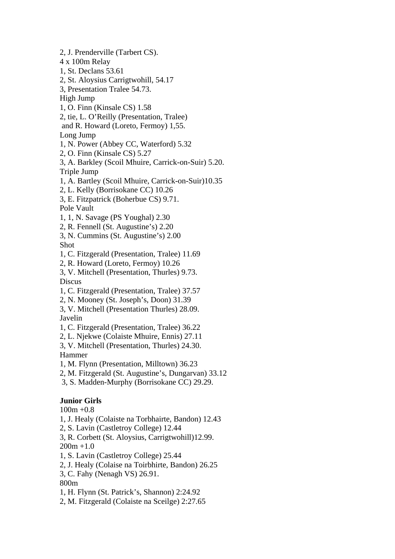2, J. Prenderville (Tarbert CS). 4 x 100m Relay 1, St. Declans 53.61 2, St. Aloysius Carrigtwohill, 54.17 3, Presentation Tralee 54.73. High Jump 1, O. Finn (Kinsale CS) 1.58 2, tie, L. O'Reilly (Presentation, Tralee) and R. Howard (Loreto, Fermoy) 1,55. Long Jump 1, N. Power (Abbey CC, Waterford) 5.32 2, O. Finn (Kinsale CS) 5.27 3, A. Barkley (Scoil Mhuire, Carrick-on-Suir) 5.20. Triple Jump 1, A. Bartley (Scoil Mhuire, Carrick-on-Suir)10.35 2, L. Kelly (Borrisokane CC) 10.26 3, E. Fitzpatrick (Boherbue CS) 9.71. Pole Vault 1, 1, N. Savage (PS Youghal) 2.30 2, R. Fennell (St. Augustine's) 2.20 3, N. Cummins (St. Augustine's) 2.00 Shot 1, C. Fitzgerald (Presentation, Tralee) 11.69 2, R. Howard (Loreto, Fermoy) 10.26 3, V. Mitchell (Presentation, Thurles) 9.73. **Discus** 1, C. Fitzgerald (Presentation, Tralee) 37.57 2, N. Mooney (St. Joseph's, Doon) 31.39 3, V. Mitchell (Presentation Thurles) 28.09. Javelin 1, C. Fitzgerald (Presentation, Tralee) 36.22 2, L. Njekwe (Colaiste Mhuire, Ennis) 27.11 3, V. Mitchell (Presentation, Thurles) 24.30. Hammer 1, M. Flynn (Presentation, Milltown) 36.23 2, M. Fitzgerald (St. Augustine's, Dungarvan) 33.12 3, S. Madden-Murphy (Borrisokane CC) 29.29. **Junior Girls**  $100m + 0.8$ 1, J. Healy (Colaiste na Torbhairte, Bandon) 12.43 2, S. Lavin (Castletroy College) 12.44 3, R. Corbett (St. Aloysius, Carrigtwohill)12.99.  $200m + 1.0$ 1, S. Lavin (Castletroy College) 25.44 2, J. Healy (Colaise na Toirbhirte, Bandon) 26.25 3, C. Fahy (Nenagh VS) 26.91.

800m

1, H. Flynn (St. Patrick's, Shannon) 2:24.92

2, M. Fitzgerald (Colaiste na Sceilge) 2:27.65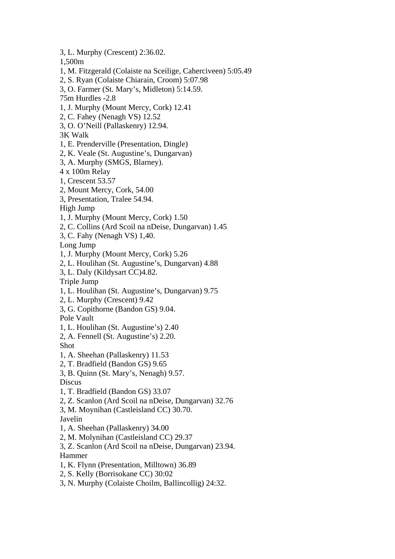3, L. Murphy (Crescent) 2:36.02. 1,500m 1, M. Fitzgerald (Colaiste na Sceilige, Caherciveen) 5:05.49 2, S. Ryan (Colaiste Chiarain, Croom) 5:07.98 3, O. Farmer (St. Mary's, Midleton) 5:14.59. 75m Hurdles -2.8 1, J. Murphy (Mount Mercy, Cork) 12.41 2, C. Fahey (Nenagh VS) 12.52 3, O. O'Neill (Pallaskenry) 12.94. 3K Walk 1, E. Prenderville (Presentation, Dingle) 2, K. Veale (St. Augustine's, Dungarvan) 3, A. Murphy (SMGS, Blarney). 4 x 100m Relay 1, Crescent 53.57 2, Mount Mercy, Cork, 54.00 3, Presentation, Tralee 54.94. High Jump 1, J. Murphy (Mount Mercy, Cork) 1.50 2, C. Collins (Ard Scoil na nDeise, Dungarvan) 1.45 3, C. Fahy (Nenagh VS) 1,40. Long Jump 1, J. Murphy (Mount Mercy, Cork) 5.26 2, L. Houlihan (St. Augustine's, Dungarvan) 4.88 3, L. Daly (Kildysart CC)4.82. Triple Jump 1, L. Houlihan (St. Augustine's, Dungarvan) 9.75 2, L. Murphy (Crescent) 9.42 3, G. Copithorne (Bandon GS) 9.04. Pole Vault 1, L. Houlihan (St. Augustine's) 2.40 2, A. Fennell (St. Augustine's) 2.20. Shot 1, A. Sheehan (Pallaskenry) 11.53 2, T. Bradfield (Bandon GS) 9.65 3, B. Quinn (St. Mary's, Nenagh) 9.57. **Discus** 1, T. Bradfield (Bandon GS) 33.07 2, Z. Scanlon (Ard Scoil na nDeise, Dungarvan) 32.76 3, M. Moynihan (Castleisland CC) 30.70. Javelin 1, A. Sheehan (Pallaskenry) 34.00 2, M. Molynihan (Castleisland CC) 29.37 3, Z. Scanlon (Ard Scoil na nDeise, Dungarvan) 23.94. Hammer 1, K. Flynn (Presentation, Milltown) 36.89 2, S. Kelly (Borrisokane CC) 30:02 3, N. Murphy (Colaiste Choilm, Ballincollig) 24:32.